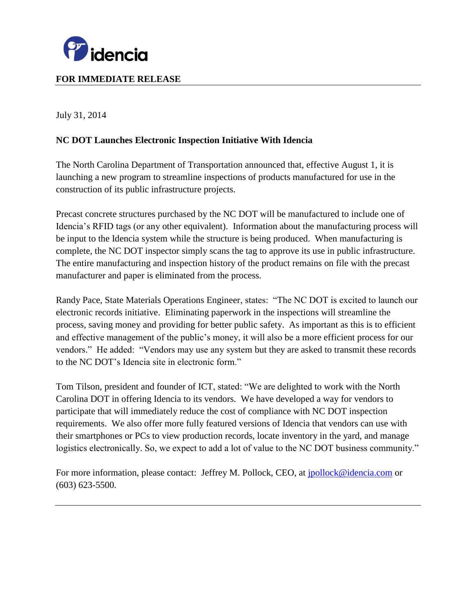

# **FOR IMMEDIATE RELEASE**

July 31, 2014

# **NC DOT Launches Electronic Inspection Initiative With Idencia**

The North Carolina Department of Transportation announced that, effective August 1, it is launching a new program to streamline inspections of products manufactured for use in the construction of its public infrastructure projects.

Precast concrete structures purchased by the NC DOT will be manufactured to include one of Idencia's RFID tags (or any other equivalent). Information about the manufacturing process will be input to the Idencia system while the structure is being produced. When manufacturing is complete, the NC DOT inspector simply scans the tag to approve its use in public infrastructure. The entire manufacturing and inspection history of the product remains on file with the precast manufacturer and paper is eliminated from the process.

Randy Pace, State Materials Operations Engineer, states: "The NC DOT is excited to launch our electronic records initiative. Eliminating paperwork in the inspections will streamline the process, saving money and providing for better public safety. As important as this is to efficient and effective management of the public's money, it will also be a more efficient process for our vendors." He added: "Vendors may use any system but they are asked to transmit these records to the NC DOT's Idencia site in electronic form."

Tom Tilson, president and founder of ICT, stated: "We are delighted to work with the North Carolina DOT in offering Idencia to its vendors. We have developed a way for vendors to participate that will immediately reduce the cost of compliance with NC DOT inspection requirements. We also offer more fully featured versions of Idencia that vendors can use with their smartphones or PCs to view production records, locate inventory in the yard, and manage logistics electronically. So, we expect to add a lot of value to the NC DOT business community."

For more information, please contact: Jeffrey M. Pollock, CEO, at *[jpollock@idencia.com](mailto:jpollock@idencia.com)* or (603) 623-5500.